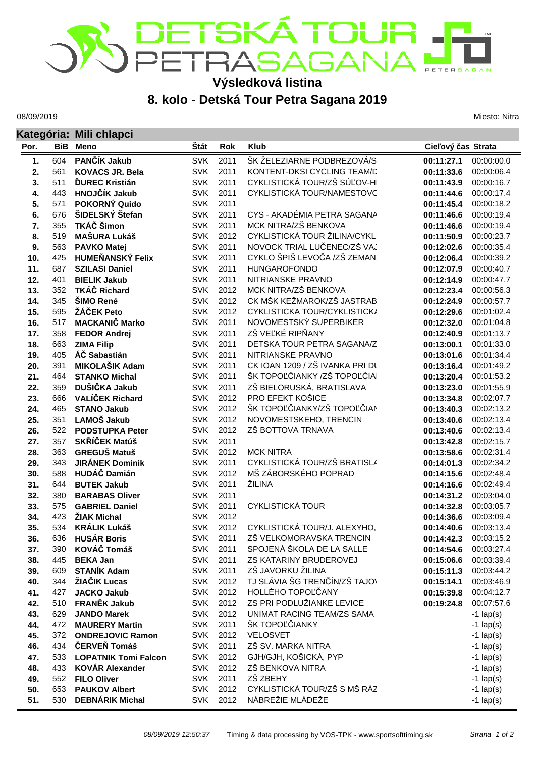## ETSKÁTOUR<br>ETRASAGANA **TERSAGAN Výsledková listina**

## **8. kolo - Detská Tour Petra Sagana 2019**

08/09/2019

**Kategória: Mili chlapci**

Miesto: Nitra

| Kategoria: Milli chiapci |            |                                                |                          |              |                                   |                          |                          |  |  |
|--------------------------|------------|------------------------------------------------|--------------------------|--------------|-----------------------------------|--------------------------|--------------------------|--|--|
| Por.                     |            | <b>BiB</b> Meno                                | Štát                     | <b>Rok</b>   | <b>Klub</b>                       | Cieľový čas Strata       |                          |  |  |
| 1.                       | 604        | PANČÍK Jakub                                   | <b>SVK</b>               | 2011         | ŠK ŽELEZIARNE PODBREZOVÁ/S        | 00:11:27.1               | 00:00:00.0               |  |  |
| 2.                       | 561        | <b>KOVACS JR. Bela</b>                         | <b>SVK</b>               | 2011         | KONTENT-DKSI CYCLING TEAM/D       | 00:11:33.6               | 00:00:06.4               |  |  |
| 3.                       | 511        | <b>ĎUREC Kristián</b>                          | <b>SVK</b>               | 2011         | CYKLISTICKÁ TOUR/ZŠ SÚĽOV-HI      | 00:11:43.9               | 00:00:16.7               |  |  |
| 4.                       | 443        | HNOJČÍK Jakub                                  | <b>SVK</b>               | 2011         | CYKLISTICKÁ TOUR/NAMESTOVC        | 00:11:44.6               | 00:00:17.4               |  |  |
| 5.                       | 571        | POKORNÝ Quido                                  | <b>SVK</b>               | 2011         |                                   | 00:11:45.4               | 00:00:18.2               |  |  |
| 6.                       | 676        | ŠIDELSKÝ Štefan                                | <b>SVK</b>               | 2011         | CYS - AKADÉMIA PETRA SAGANA       | 00:11:46.6               | 00:00:19.4               |  |  |
| 7.                       | 355        | TKÁČ Šimon                                     | <b>SVK</b>               | 2011         | MCK NITRA/ZŠ BENKOVA              | 00:11:46.6               | 00:00:19.4               |  |  |
| 8.                       | 519        | <b>MAŠURA Lukáš</b>                            | <b>SVK</b>               | 2012         | CYKLISTICKÁ TOUR ŽILINA/CYKLI     | 00:11:50.9               | 00:00:23.7               |  |  |
| 9.                       | 563        | <b>PAVKO Matej</b>                             | <b>SVK</b>               | 2011         | NOVOCK TRIAL LUČENEC/ZŠ VAJ       | 00:12:02.6               | 00:00:35.4               |  |  |
| 10.                      | 425        | <b>HUMEŇANSKÝ Felix</b>                        | <b>SVK</b>               | 2011         | CYKLO ŠPIŠ LEVOČA /ZŠ ZEMAN:      | 00:12:06.4               | 00:00:39.2               |  |  |
| 11.                      | 687        | <b>SZILASI Daniel</b>                          | <b>SVK</b>               | 2011         | <b>HUNGAROFONDO</b>               | 00:12:07.9               | 00:00:40.7               |  |  |
| 12.                      | 401        | <b>BIELIK Jakub</b>                            | <b>SVK</b>               | 2011         | NITRIANSKE PRAVNO                 | 00:12:14.9               | 00:00:47.7               |  |  |
| 13.                      | 352        | <b>TKÁČ Richard</b>                            | <b>SVK</b>               | 2012         | MCK NITRA/ZŠ BENKOVA              | 00:12:23.4               | 00:00:56.3               |  |  |
| 14.                      | 345        | ŠIMO René                                      | <b>SVK</b>               | 2012         | CK MŠK KEŽMAROK/ZŠ JASTRAB        | 00:12:24.9               | 00:00:57.7               |  |  |
| 15.                      | 595        | ŽÁČEK Peto                                     | <b>SVK</b>               | 2012         | CYKLISTICKA TOUR/CYKLISTICK/      | 00:12:29.6               | 00:01:02.4               |  |  |
| 16.                      | 517        | <b>MACKANIČ Marko</b>                          | <b>SVK</b>               | 2011         | NOVOMESTSKÝ SUPERBIKER            | 00:12:32.0               | 00:01:04.8               |  |  |
| 17.                      | 358        | <b>FEDOR Andrej</b>                            | <b>SVK</b>               | 2011         | ZŠ VEĽKÉ RIPŇANY                  | 00:12:40.9               | 00:01:13.7               |  |  |
| 18.                      | 663        | <b>ZIMA Filip</b>                              | <b>SVK</b>               | 2011         | DETSKA TOUR PETRA SAGANA/Z        | 00:13:00.1               | 00:01:33.0               |  |  |
| 19.                      | 405        | ÁČ Sabastián                                   | <b>SVK</b>               | 2011         | NITRIANSKE PRAVNO                 | 00:13:01.6               | 00:01:34.4               |  |  |
| 20.                      | 391        | <b>MIKOLAŠIK Adam</b>                          | <b>SVK</b>               | 2011         | CK IOAN 1209 / ZŠ IVANKA PRI DL   | 00:13:16.4               | 00:01:49.2               |  |  |
| 21.                      | 464        | <b>STANKO Michal</b>                           | <b>SVK</b>               | 2011         | ŠK TOPOĽČIANKY /ZŠ TOPOĽČIAI      | 00:13:20.4               | 00:01:53.2               |  |  |
| 22.                      | 359        | DUŠIČKA Jakub                                  | <b>SVK</b>               | 2011         | ZŠ BIELORUSKÁ, BRATISLAVA         | 00:13:23.0               | 00:01:55.9               |  |  |
| 23.                      | 666        | <b>VALÍČEK Richard</b>                         | <b>SVK</b>               | 2012         | PRO EFEKT KOŠICE                  | 00:13:34.8               | 00:02:07.7               |  |  |
| 24.                      | 465        | <b>STANO Jakub</b>                             | <b>SVK</b>               | 2012         | ŠK TOPOĽČIANKY/ZŠ TOPOĽČIAN       | 00:13:40.3               | 00:02:13.2               |  |  |
| 25.                      | 351        | LAMOŠ Jakub                                    | <b>SVK</b>               | 2012         | NOVOMESTSKEHO, TRENCIN            | 00:13:40.6               | 00:02:13.4               |  |  |
| 26.                      | 522        | <b>PODSTUPKA Peter</b>                         | <b>SVK</b>               | 2012         | ZŠ BOTTOVA TRNAVA                 | 00:13:40.6               | 00:02:13.4               |  |  |
| 27.                      | 357        | SKŘÍČEK Matúš                                  | <b>SVK</b>               | 2011         |                                   | 00:13:42.8               | 00:02:15.7               |  |  |
| 28.                      | 363        | <b>GREGUŠ Matuš</b>                            | <b>SVK</b>               | 2012         | <b>MCK NITRA</b>                  | 00:13:58.6               | 00:02:31.4               |  |  |
| 29.                      | 343        | <b>JIRÁNEK Dominik</b>                         | <b>SVK</b>               | 2011         | CYKLISTICKÁ TOUR/ZŠ BRATISLA      | 00:14:01.3               | 00:02:34.2               |  |  |
| 30.                      | 588        | <b>HUDÁČ Damián</b>                            | <b>SVK</b>               | 2012         | MŠ ZÁBORSKÉHO POPRAD<br>ŽILINA    | 00:14:15.6               | 00:02:48.4               |  |  |
| 31.                      | 644        | <b>BUTEK Jakub</b>                             | <b>SVK</b><br><b>SVK</b> | 2011<br>2011 |                                   | 00:14:16.6               | 00:02:49.4<br>00:03:04.0 |  |  |
| 32.<br>33.               | 380<br>575 | <b>BARABAS Oliver</b><br><b>GABRIEL Daniel</b> | <b>SVK</b>               | 2011         | <b>CYKLISTICKÁ TOUR</b>           | 00:14:31.2<br>00:14:32.8 | 00:03:05.7               |  |  |
| 34.                      | 423        | ŽIAK Michal                                    | <b>SVK</b>               | 2012         |                                   | 00:14:36.6               | 00:03:09.4               |  |  |
| 35.                      | 534        | <b>KRÁLIK Lukáš</b>                            | <b>SVK</b>               | 2012         | CYKLISTICKÁ TOUR/J. ALEXYHO,      | 00:14:40.6               | 00:03:13.4               |  |  |
|                          | 636        | <b>HUSÁR Boris</b>                             |                          | SVK 2011     | ZŠ VELKOMORAVSKA TRENCIN          | 00:14:42.3               | 00:03:15.2               |  |  |
| 36.<br>37.               | 390        | KOVÁČ Tomáš                                    | <b>SVK</b>               | 2011         | SPOJENÁ ŠKOLA DE LA SALLE         | 00:14:54.6               | 00:03:27.4               |  |  |
| 38.                      | 445        | <b>BEKA Jan</b>                                | <b>SVK</b>               | 2011         | ZS KATARINY BRUDEROVEJ            | 00:15:06.6               | 00:03:39.4               |  |  |
| 39.                      | 609        | <b>STANÍK Adam</b>                             | <b>SVK</b>               | 2011         | ZŠ JAVORKU ŽILINA                 | 00:15:11.3               | 00:03:44.2               |  |  |
| 40.                      | 344        | ŽIAČIK Lucas                                   | <b>SVK</b>               | 2012         | TJ SLÁVIA ŠG TRENČÍN/ZŠ TAJOV     | 00:15:14.1               | 00:03:46.9               |  |  |
| 41.                      | 427        | <b>JACKO Jakub</b>                             | <b>SVK</b>               | 2012         | HOLLÉHO TOPOĽČANY                 | 00:15:39.8               | 00:04:12.7               |  |  |
| 42.                      | 510        | <b>FRANĚK Jakub</b>                            | <b>SVK</b>               | 2012         | ZS PRI PODLUŽIANKE LEVICE         | 00:19:24.8               | 00:07:57.6               |  |  |
| 43.                      | 629        | <b>JANDO Marek</b>                             | <b>SVK</b>               | 2012         | <b>UNIMAT RACING TEAM/ZS SAMA</b> |                          | $-1$ lap(s)              |  |  |
| 44.                      | 472        | <b>MAURERY Martin</b>                          | <b>SVK</b>               | 2011         | ŠK TOPOĽČIANKY                    |                          | $-1$ lap(s)              |  |  |
| 45.                      | 372        | <b>ONDREJOVIC Ramon</b>                        | <b>SVK</b>               | 2012         | VELOSVET                          |                          | $-1$ lap(s)              |  |  |
| 46.                      | 434        | ČERVEŇ Tomáš                                   | <b>SVK</b>               | 2011         | ZŠ SV. MARKA NITRA                |                          | $-1$ lap(s)              |  |  |
| 47.                      | 533        | <b>LOPATNIK Tomi Falcon</b>                    | <b>SVK</b>               | 2012         | GJH/GJH, KOŠICKÁ, PYP             |                          | $-1$ lap(s)              |  |  |
| 48.                      | 433        | <b>KOVÁR Alexander</b>                         | <b>SVK</b>               | 2012         | ZŠ BENKOVA NITRA                  |                          | $-1$ lap(s)              |  |  |
| 49.                      | 552        | <b>FILO Oliver</b>                             | <b>SVK</b>               | 2011         | ZŠ ZBEHY                          |                          | $-1$ lap(s)              |  |  |
| 50.                      | 653        | <b>PAUKOV Albert</b>                           | <b>SVK</b>               | 2012         | CYKLISTICKÁ TOUR/ZŠ S MŠ RÁZ      |                          | $-1$ lap(s)              |  |  |
| 51.                      | 530        | <b>DEBNÁRIK Michal</b>                         | <b>SVK</b>               | 2012         | NÁBREŽIE MLÁDEŽE                  |                          | $-1$ lap(s)              |  |  |
|                          |            |                                                |                          |              |                                   |                          |                          |  |  |